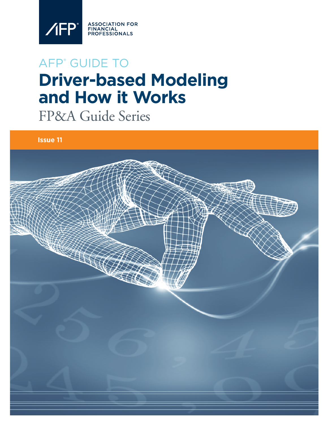

# AFP® GUIDE TO **Driver-based Modeling and How it Works**

FP&A Guide Series

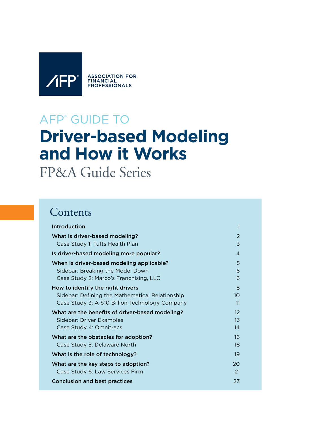

# AFP® GUIDE TO **Driver-based Modeling and How it Works**

FP&A Guide Series

# **Contents**

| Introduction                                    | 1                 |
|-------------------------------------------------|-------------------|
| What is driver-based modeling?                  | 2                 |
| Case Study 1: Tufts Health Plan                 | $\overline{3}$    |
| Is driver-based modeling more popular?          | $\overline{4}$    |
| When is driver-based modeling applicable?       | 5                 |
| Sidebar: Breaking the Model Down                | 6                 |
| Case Study 2: Marco's Franchising, LLC          | 6                 |
| How to identify the right drivers               | 8                 |
| Sidebar: Defining the Mathematical Relationship | 10                |
| Case Study 3: A \$10 Billion Technology Company | 11                |
| What are the benefits of driver-based modeling? | $12 \overline{ }$ |
| Sidebar: Driver Examples                        | 13                |
| Case Study 4: Omnitracs                         | 14                |
| What are the obstacles for adoption?            | 16                |
| Case Study 5: Delaware North                    | 18                |
| What is the role of technology?                 | 19                |
| What are the key steps to adoption?             | 20                |
| Case Study 6: Law Services Firm                 | 21                |
| <b>Conclusion and best practices</b>            | 23                |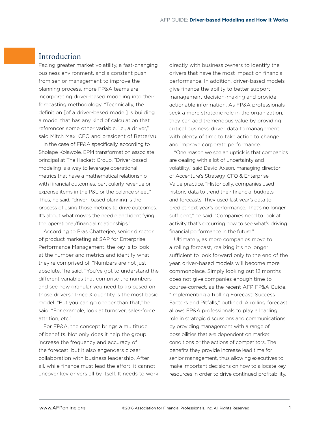# Introduction

Facing greater market volatility, a fast-changing business environment, and a constant push from senior management to improve the planning process, more FP&A teams are incorporating driver-based modeling into their forecasting methodology. "Technically, the definition [of a driver-based model] is building a model that has any kind of calculation that references some other variable, i.e., a driver," said Mitch Max, CEO and president of BetterVu.

In the case of FP&A specifically, according to Sholape Kolawole, EPM transformation associate principal at The Hackett Group, "Driver-based modeling is a way to leverage operational metrics that have a mathematical relationship with financial outcomes, particularly revenue or expense items in the P&L or the balance sheet." Thus, he said, "driver- based planning is the process of using those metrics to drive outcomes. It's about what moves the needle and identifying the operational/financial relationships."

According to Pras Chatterjee, senior director of product marketing at SAP for Enterprise Performance Management, the key is to look at the number and metrics and identify what they're comprised of. "Numbers are not just absolute," he said. "You've got to understand the different variables that comprise the numbers and see how granular you need to go based on those drivers." Price X quantity is the most basic model. "But you can go deeper than that," he said. "For example, look at turnover, sales-force attrition, etc."

For FP&A, the concept brings a multitude of benefits. Not only does it help the group increase the frequency and accuracy of the forecast, but it also engenders closer collaboration with business leadership. After all, while finance must lead the effort, it cannot uncover key drivers all by itself. It needs to work directly with business owners to identify the drivers that have the most impact on financial performance. In addition, driver-based models give finance the ability to better support management decision-making and provide actionable information. As FP&A professionals seek a more strategic role in the organization, they can add tremendous value by providing critical business-driver data to management with plenty of time to take action to change and improve corporate performance.

"One reason we see an uptick is that companies are dealing with a lot of uncertainty and volatility," said David Axson, managing director of Accenture's Strategy, CFO & Enterprise Value practice. "Historically, companies used historic data to trend their financial budgets and forecasts. They used last year's data to predict next year's performance. That's no longer sufficient," he said. "Companies need to look at activity that's occurring now to see what's driving financial performance in the future."

Ultimately, as more companies move to a rolling forecast, realizing it's no longer sufficient to look forward only to the end of the year, driver-based models will become more commonplace. Simply looking out 12 months does not give companies enough time to course-correct, as the recent AFP FP&A Guide, "Implementing a Rolling Forecast: Success Factors and Pitfalls," outlined. A rolling forecast allows FP&A professionals to play a leading role in strategic discussions and communications by providing management with a range of possibilities that are dependent on market conditions or the actions of competitors. The benefits they provide increase lead time for senior management, thus allowing executives to make important decisions on how to allocate key resources in order to drive continued profitability.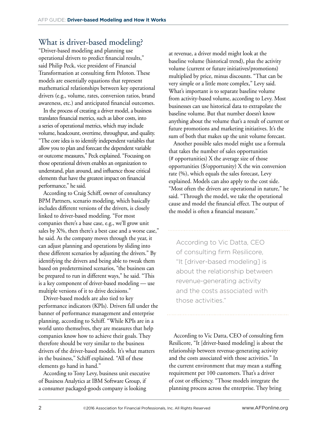# What is driver-based modeling?

"Driver-based modeling and planning use operational drivers to predict financial results," said Philip Peck, vice president of Financial Transformation at consulting firm Peloton. These models are essentially equations that represent mathematical relationships between key operational drivers (e.g., volume, rates, conversion ratios, brand awareness, etc.) and anticipated financial outcomes.

In the process of creating a driver model, a business translates financial metrics, such as labor costs, into a series of operational metrics, which may include volume, headcount, overtime, throughput, and quality. "The core idea is to identify independent variables that allow you to plan and forecast the dependent variable or outcome measures," Peck explained. "Focusing on those operational drivers enables an organization to understand, plan around, and influence those critical elements that have the greatest impact on financial performance," he said.

According to Craig Schiff, owner of consultancy BPM Partners, scenario modeling, which basically includes different versions of the drivers, is closely linked to driver-based modeling. "For most companies there's a base case, e.g., we'll grow unit sales by X%, then there's a best case and a worse case," he said. As the company moves through the year, it can adjust planning and operations by sliding into these different scenarios by adjusting the drivers." By identifying the drivers and being able to tweak them based on predetermined scenarios, "the business can be prepared to run in different ways," he said. "This is a key component of driver-based modeling — use multiple versions of it to drive decisions."

Driver-based models are also tied to key performance indicators (KPIs). Drivers fall under the banner of performance management and enterprise planning, according to Schiff. "While KPIs are in a world unto themselves, they are measures that help companies know how to achieve their goals. They therefore should be very similar to the business drivers of the driver-based models. It's what matters in the business," Schiff explained. "All of these elements go hand in hand."

According to Tony Levy, business unit executive of Business Analytics at IBM Software Group, if a consumer packaged-goods company is looking

at revenue, a driver model might look at the baseline volume (historical trend), plus the activity volume (current or future initiatives/promotions) multiplied by price, minus discounts. "That can be very simple or a little more complex," Levy said. What's important is to separate baseline volume from activity-based volume, according to Levy. Most businesses can use historical data to extrapolate the baseline volume. But that number doesn't know anything about the volume that's a result of current or future promotions and marketing initiatives. It's the sum of both that makes up the unit volume forecast.

Another possible sales model might use a formula that takes the number of sales opportunities (# opportunities) X the average size of those opportunities (\$/opportunity) X the win conversion rate (%), which equals the sales forecast, Levy explained. Models can also apply to the cost side. "Most often the drivers are operational in nature," he said. "Through the model, we take the operational cause and model the financial effect. The output of the model is often a financial measure."

According to Vic Datta, CEO of consulting firm Resilicore, "It [driver-based modeling] is about the relationship between revenue-generating activity and the costs associated with those activities."

According to Vic Datta, CEO of consulting firm Resilicore, "It [driver-based modeling] is about the relationship between revenue-generating activity and the costs associated with those activities." In the current environment that may mean a staffing requirement per 100 customers. That's a driver of cost or efficiency. "Those models integrate the planning process across the enterprise. They bring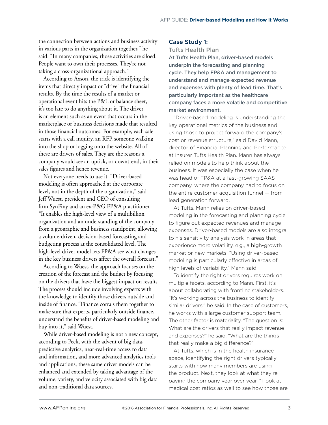the connection between actions and business activity in various parts in the organization together," he said. "In many companies, those activities are siloed. People want to own their processes. They're not taking a cross-organizational approach."

According to Axson, the trick is identifying the items that directly impact or "drive" the financial results. By the time the results of a market or operational event hits the P&L or balance sheet, it's too late to do anything about it. The driver is an element such as an event that occurs in the marketplace or business decisions made that resulted in those financial outcomes. For example, each sale starts with a call inquiry, an RFP, someone walking into the shop or logging onto the website. All of these are drivers of sales. They are the reasons a company would see an uptick, or downtrend, in their sales figures and hence revenue.

Not everyone needs to use it. "Driver-based modeling is often approached at the corporate level, not in the depth of the organization," said Jeff Wuest, president and CEO of consulting firm SynFiny and an ex-P&G FP&A practitioner. "It enables the high-level view of a multibillion organization and an understanding of the company from a geographic and business standpoint, allowing a volume-driven, decision-based forecasting and budgeting process at the consolidated level. The high-level driver model lets FP&A see what changes in the key business drivers affect the overall forecast."

According to Wuest, the approach focuses on the creation of the forecast and the budget by focusing on the drivers that have the biggest impact on results. The process should include involving experts with the knowledge to identify those drivers outside and inside of finance. "Finance corrals them together to make sure that experts, particularly outside finance, understand the benefits of driver-based modeling and buy into it," said Wuest.

While driver-based modeling is not a new concept, according to Peck, with the advent of big data, predictive analytics, near-real-time access to data and information, and more advanced analytics tools and applications, these same driver models can be enhanced and extended by taking advantage of the volume, variety, and velocity associated with big data and non-traditional data sources.

## Case Study 1:

#### Tufts Health Plan

At Tufts Health Plan, driver-based models underpin the forecasting and planning cycle. They help FP&A and management to understand and manage expected revenue and expenses with plenty of lead time. That's particularly important as the healthcare company faces a more volatile and competitive market environment.

"Driver-based modeling is understanding the key operational metrics of the business and using those to project forward the company's cost or revenue structure," said David Mann, director of Financial Planning and Performance at Insurer Tufts Health Plan. Mann has always relied on models to help think about the business. It was especially the case when he was head of FP&A at a fast-growing SAAS company, where the company had to focus on the entire customer acquisition funnel — from lead generation forward.

At Tufts, Mann relies on driver-based modeling in the forecasting and planning cycle to figure out expected revenues and manage expenses. Driver-based models are also integral to his sensitivity analysis work in areas that experience more volatility, e.g., a high-growth market or new markets. "Using driver-based modeling is particularly effective in areas of high levels of variability," Mann said.

To identify the right drivers requires work on multiple facets, according to Mann. First, it's about collaborating with frontline stakeholders. "It's working across the business to identify similar drivers," he said. In the case of customers, he works with a large customer support team. The other factor is materiality. "The question is: What are the drivers that really impact revenue and expenses?" he said. "What are the things that really make a big difference?"

At Tufts, which is in the health insurance space, identifying the right drivers typically starts with how many members are using the product. Next, they look at what they're paying the company year over year. "I look at medical cost ratios as well to see how those are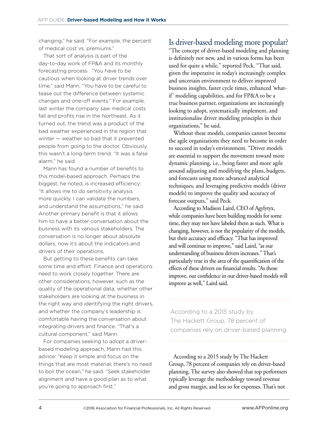changing," he said. "For example, the percent of medical cost vs. premiums."

That sort of analysis is part of the day-to-day work of FP&A and its monthly forecasting process. "You have to be cautious when looking at driver trends over time," said Mann. "You have to be careful to tease out the difference between systemic changes and one-off events." For example, last winter the company saw medical costs fall and profits rise in the Northeast. As it turned out, the trend was a product of the bad weather experienced in the region that winter — weather so bad that it prevented people from going to the doctor. Obviously, this wasn't a long-term trend. "It was a false alarm," he said.

Mann has found a number of benefits to this model-based approach. Perhaps the biggest, he noted, is increased efficiency: "It allows me to do sensitivity analysis more quickly. I can validate the numbers, and understand the assumptions," he said. Another primary benefit is that it allows him to have a better conversation about the business with its various stakeholders. The conversation is no longer about absolute dollars, now it's about the indicators and drivers of their operations.

But getting to these benefits can take some time and effort. Finance and operations need to work closely together. There are other considerations, however, such as the quality of the operational data, whether other stakeholders are looking at the business in the right way and identifying the right drivers, and whether the company's leadership is comfortable having the conversation about integrating drivers and finance. "That's a cultural component," said Mann.

For companies seeking to adopt a driverbased modeling approach, Mann had this advice: "Keep it simple and focus on the things that are most material; there's no need to boil the ocean," he said. "Seek stakeholder alignment and have a good plan as to what you're going to approach first."

# Is driver-based modeling more popular?

"The concept of driver-based modeling and planning is definitely not new, and in various forms has been used for quite a while," reported Peck. "That said, given the imperative in today's increasingly complex and uncertain environment to deliver improved business insights, faster cycle times, enhanced 'whatif' modeling capabilities, and for FP&A to be a true business partner, organizations are increasingly looking to adopt, systematically implement, and institutionalize driver modeling principles in their organizations," he said.

Without these models, companies cannot become the agile organizations they need to become in order to succeed in today's environment. "Driver models are essential to support the movement toward more dynamic planning, i.e., being faster and more agile around adjusting and modifying the plans, budgets, and forecasts using more advanced analytical techniques, and leveraging predictive models (driver models) to improve the quality and accuracy of forecast outputs," said Peck.

According to Madison Laird, CEO of Agylytyx, while companies have been building models for some time, they may not have labeled them as such. What is changing, however, is not the popularity of the models, but their accuracy and efficacy. "That has improved and will continue to improve," said Laird, "as our understanding of business drivers increases." That's particularly true in the area of the quantification of the effects of these drivers on financial results. "As those improve, our confidence in our driver-based models will improve as well," Laird said.

According to a 2015 study by The Hackett Group, 78 percent of companies rely on driver-based planning.

According to a 2015 study by The Hackett Group, 78 percent of companies rely on driver-based planning. The survey also showed that top performers typically leverage the methodology toward revenue and gross margin, and less so for expenses. That's not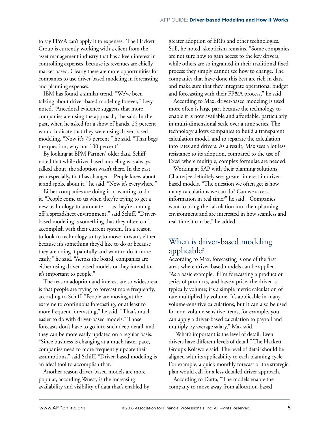to say FP&A can't apply it to expenses. The Hackett Group is currently working with a client from the asset management industry that has a keen interest in controlling expenses, because its revenues are chiefly market based. Clearly there are more opportunities for companies to use driver-based modeling in forecasting and planning expenses.

IBM has found a similar trend. "We've been talking about driver-based modeling forever," Levy noted. "Anecdotal evidence suggests that more companies are using the approach," he said. In the past, when he asked for a show of hands, 25 percent would indicate that they were using driver-based modeling. "Now it's 75 percent," he said. "That begs the question, why not 100 percent?"

By looking at BPM Partners' older data, Schiff noted that while driver-based modeling was always talked about, the adoption wasn't there. In the past year especially, that has changed. "People knew about it and spoke about it," he said. "Now it's everywhere."

Either companies are doing it or wanting to do it. "People come to us when they're trying to get a new technology to automate — as they're coming off a spreadsheet environment," said Schiff. "Driverbased modeling is something that they often can't accomplish with their current system. It's a reason to look to technology to try to move forward, either because it's something they'd like to do or because they are doing it painfully and want to do it more easily," he said. "Across the board, companies are either using driver-based models or they intend to; it's important to people."

The reason adoption and interest are so widespread is that people are trying to forecast more frequently, according to Schiff. "People are moving at the extreme to continuous forecasting, or at least to more frequent forecasting," he said. "That's much easier to do with driver-based models." Those forecasts don't have to go into such deep detail, and they can be more easily updated on a regular basis. "Since business is changing at a much faster pace, companies need to more frequently update their assumptions," said Schiff. "Driver-based modeling is an ideal tool to accomplish that."

Another reason driver-based models are more popular, according Wuest, is the increasing availability and visibility of data that's enabled by greater adoption of ERPs and other technologies. Still, he noted, skepticism remains. "Some companies are not sure how to gain access to the key drivers, while others are so ingrained in their traditional fixed process they simply cannot see how to change. The companies that have done this best are rich in data and make sure that they integrate operational budget and forecasting with their FP&A process," he said.

According to Max, driver-based modeling is used more often is large part because the technology to enable it is now available and affordable, particularly in multi-dimensional scale over a time series. The technology allows companies to build a transparent calculation model, and to separate the calculation into rates and drivers. As a result, Max sees a lot less resistance to its adoption, compared to the use of Excel where multiple, complex formulae are needed.

Working at SAP with their planning solutions, Chatterjee definitely sees greater interest in driverbased models. "The question we often get is how many calculations we can do? Can we access information in real time?" he said. "Companies want to bring the calculation into their planning environment and are interested in how seamless and real-time it can be," he added.

# When is driver-based modeling applicable?

According to Max, forecasting is one of the first areas where driver-based models can be applied. "As a basic example, if I'm forecasting a product or series of products, and have a price, the driver is typically volume; it's a simple metric calculation of rate multiplied by volume. It's applicable in many volume-sensitive calculations, but it can also be used for non-volume-sensitive items, for example, you can apply a driver-based calculation to payroll and multiply by average salary," Max said.

"What's important is the level of detail. Even drivers have different levels of detail," The Hackett Group's Kolawole said. The level of detail should be aligned with its applicability to each planning cycle. For example, a quick monthly forecast or the strategic plan would call for a less-detailed driver approach.

According to Datta, "The models enable the company to move away from allocation-based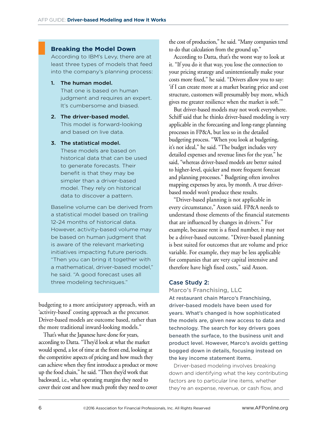### **Breaking the Model Down**

According to IBM's Levy, there are at least three types of models that feed into the company's planning process:

#### 1. The human model.

That one is based on human judgment and requires an expert. It's cumbersome and biased.

#### 2. The driver-based model. This model is forward-looking and based on live data.

#### 3. The statistical model.

These models are based on historical data that can be used to generate forecasts. Their benefit is that they may be simpler than a driver-based model. They rely on historical data to discover a pattern.

Baseline volume can be derived from a statistical model based on trailing 12-24 months of historical data. However, activity-based volume may be based on human judgment that is aware of the relevant marketing initiatives impacting future periods. "Then you can bring it together with a mathematical, driver-based model," he said. "A good forecast uses all three modeling techniques."

budgeting to a more anticipatory approach, with an 'activity-based' costing approach as the precursor. Driver-based models are outcome based, rather than the more traditional inward-looking models."

That's what the Japanese have done for years, according to Datta. "They'd look at what the market would spend, a lot of time at the front end, looking at the competitive aspects of pricing and how much they can achieve when they first introduce a product or move up the food chain," he said. "Then they'd work that backward, i.e., what operating margins they need to cover their cost and how much profit they need to cover

the cost of production," he said. "Many companies tend to do that calculation from the ground up."

According to Datta, that's the worst way to look at it. "If you do it that way, you lose the connection to your pricing strategy and unintentionally make your costs more fixed," he said. "Drivers allow you to say: 'if I can create more at a market bearing price and cost structure, customers will presumably buy more, which gives me greater resilience when the market is soft.'"

But driver-based models may not work everywhere. Schiff said that he thinks driver-based modeling is very applicable in the forecasting and long-range planning processes in FP&A, but less so in the detailed budgeting process. "When you look at budgeting, it's not ideal," he said. "The budget includes very detailed expenses and revenue lines for the year," he said, "whereas driver-based models are better suited to higher-level, quicker and more frequent forecast and planning processes." Budgeting often involves mapping expenses by area, by month. A true driverbased model won't produce these results.

"Driver-based planning is not applicable in every circumstance," Axson said. FP&A needs to understand those elements of the financial statements that are influenced by changes in drivers." For example, because rent is a fixed number, it may not be a driver-based outcome. "Driver-based planning is best suited for outcomes that are volume and price variable. For example, they may be less applicable for companies that are very capital intensive and therefore have high fixed costs," said Axson.

#### Case Study 2:

Marco's Franchising, LLC At restaurant chain Marco's Franchising, driver-based models have been used for years. What's changed is how sophisticated the models are, given new access to data and technology. The search for key drivers goes beneath the surface, to the business unit and product level. However, Marco's avoids getting bogged down in details, focusing instead on the key income statement items.

Driver-based modeling involves breaking down and identifying what the key contributing factors are to particular line items, whether they're an expense, revenue, or cash flow, and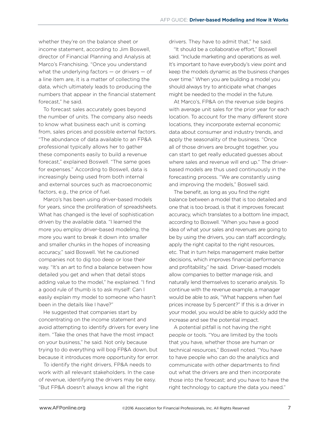whether they're on the balance sheet or income statement, according to Jim Boswell, director of Financial Planning and Analysis at Marco's Franchising. "Once you understand what the underlying factors — or drivers — of a line item are, it is a matter of collecting the data, which ultimately leads to producing the numbers that appear in the financial statement forecast," he said.

To forecast sales accurately goes beyond the number of units. The company also needs to know what business each unit is coming from, sales prices and possible external factors. "The abundance of data available to an FP&A professional typically allows her to gather these components easily to build a revenue forecast," explained Boswell. "The same goes for expenses." According to Boswell, data is increasingly being used from both internal and external sources such as macroeconomic factors, e.g., the price of fuel.

Marco's has been using driver-based models for years, since the proliferation of spreadsheets. What has changed is the level of sophistication driven by the available data. "I learned the more you employ driver-based modeling, the more you want to break it down into smaller and smaller chunks in the hopes of increasing accuracy," said Boswell. Yet he cautioned companies not to dig too deep or lose their way. "It's an art to find a balance between how detailed you get and when that detail stops adding value to the model," he explained. "I find a good rule of thumb is to ask myself: Can I easily explain my model to someone who hasn't been in the details like I have?"

He suggested that companies start by concentrating on the income statement and avoid attempting to identify drivers for every line item. "Take the ones that have the most impact on your business," he said. Not only because trying to do everything will bog FP&A down, but because it introduces more opportunity for error.

To identify the right drivers, FP&A needs to work with all relevant stakeholders. In the case of revenue, identifying the drivers may be easy. "But FP&A doesn't always know all the right

drivers. They have to admit that," he said.

"It should be a collaborative effort," Boswell said. "Include marketing and operations as well. It's important to have everybody's view point and keep the models dynamic as the business changes over time." When you are building a model you should always try to anticipate what changes might be needed to the model in the future.

At Marco's, FP&A on the revenue side begins with average unit sales for the prior year for each location. To account for the many different store locations, they incorporate external economic data about consumer and industry trends, and apply the seasonality of the business. "Once all of those drivers are brought together, you can start to get really educated guesses about where sales and revenue will end up." The driverbased models are thus used continuously in the forecasting process. "We are constantly using and improving the models," Boswell said.

The benefit, as long as you find the right balance between a model that is too detailed and one that is too broad, is that it improves forecast accuracy, which translates to a bottom line impact, according to Boswell. "When you have a good idea of what your sales and revenues are going to be by using the drivers, you can staff accordingly, apply the right capital to the right resources, etc. That in turn helps management make better decisions, which improves financial performance and profitability," he said. Driver-based models allow companies to better manage risk, and naturally lend themselves to scenario analysis. To continue with the revenue example, a manager would be able to ask, "What happens when fuel prices increase by 5 percent?" If this is a driver in your model, you would be able to quickly add the increase and see the potential impact.

A potential pitfall is not having the right people or tools. "You are limited by the tools that you have, whether those are human or technical resources," Boswell noted. "You have to have people who can do the analytics and communicate with other departments to find out what the drivers are and then incorporate those into the forecast; and you have to have the right technology to capture the data you need."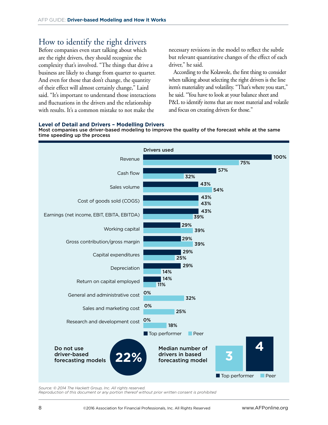# How to identify the right drivers

Before companies even start talking about which are the right drivers, they should recognize the complexity that's involved. "The things that drive a business are likely to change from quarter to quarter. And even for those that don't change, the quantity of their effect will almost certainly change," Laird said. "It's important to understand those interactions and fluctuations in the drivers and the relationship with results. It's a common mistake to not make the

necessary revisions in the model to reflect the subtle but relevant quantitative changes of the effect of each driver," he said.

According to the Kolawole, the first thing to consider when talking about selecting the right drivers is the line item's materiality and volatility. "That's where you start," he said. "You have to look at your balance sheet and P&L to identify items that are most material and volatile and focus on creating drivers for those."

#### **Level of Detail and Drivers – Modelling Drivers**

Most companies use driver-based modeling to improve the quality of the forecast while at the same time speeding up the process



*Source: © 2014 The Hackett Group, Inc. All rights reserved.* 

*Reproduction of this document or any portion thereof without prior written consent is prohibited*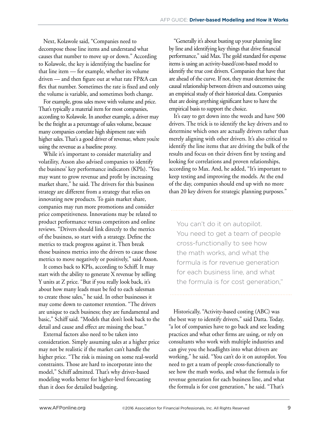Next, Kolawole said, "Companies need to decompose those line items and understand what causes that number to move up or down." According to Kolawole, the key is identifying the baseline for that line item — for example, whether its volume driven — and then figure out at what rate FP&A can flex that number. Sometimes the rate is fixed and only the volume is variable, and sometimes both change.

For example, gross sales move with volume and price. That's typically a material item for most companies, according to Kolawole. In another example, a driver may be the freight as a percentage of sales volume, because many companies correlate high shipment rate with higher sales. That's a good driver of revenue, where you're using the revenue as a baseline proxy.

While it's important to consider materiality and volatility, Axson also advised companies to identify the business' key performance indicators (KPIs). "You may want to grow revenue and profit by increasing market share," he said. The drivers for this business strategy are different from a strategy that relies on innovating new products. To gain market share, companies may run more promotions and consider price competitiveness. Innovations may be related to product performance versus competitors and online reviews. "Drivers should link directly to the metrics of the business, so start with a strategy. Define the metrics to track progress against it. Then break those business metrics into the drivers to cause those metrics to move negatively or positively," said Axson.

It comes back to KPIs, according to Schiff. It may start with the ability to generate X revenue by selling Y units at Z price. "But if you really look back, it's about how many leads must be fed to each salesman to create those sales," he said. In other businesses it may come down to customer retention. "The drivers are unique to each business; they are fundamental and basic," Schiff said. "Models that don't look back to the detail and cause and effect are missing the boat."

External factors also need to be taken into consideration. Simply assuming sales at a higher price may not be realistic if the market can't handle the higher price. "The risk is missing on some real-world constraints. Those are hard to incorporate into the model," Schiff admitted. That's why driver-based modeling works better for higher-level forecasting than it does for detailed budgeting.

"Generally it's about busting up your planning line by line and identifying key things that drive financial performance," said Max. The gold standard for expense items is using an activity-based/cost-based model to identify the true cost drivers. Companies that have that are ahead of the curve. If not, they must determine the causal relationship between drivers and outcomes using an empirical study of their historical data. Companies that are doing anything significant have to have the empirical basis to support the choice.

It's easy to get down into the weeds and have 500 drivers. The trick is to identify the key drivers and to determine which ones are actually drivers rather than merely aligning with other drivers. It's also critical to identify the line items that are driving the bulk of the results and focus on their drivers first by testing and looking for correlations and proven relationships, according to Max. And, he added, "It's important to keep testing and improving the models. At the end of the day, companies should end up with no more than 20 key drivers for strategic planning purposes."

You can't do it on autopilot. You need to get a team of people cross-functionally to see how the math works, and what the formula is for revenue generation for each business line, and what the formula is for cost generation,"

Historically, "Activity-based costing (ABC) was the best way to identify drivers," said Datta. Today, "a lot of companies have to go back and see leading practices and what other firms are using, or rely on consultants who work with multiple industries and can give you the headlights into what drivers are working," he said. "You can't do it on autopilot. You need to get a team of people cross-functionally to see how the math works, and what the formula is for revenue generation for each business line, and what the formula is for cost generation," he said. "That's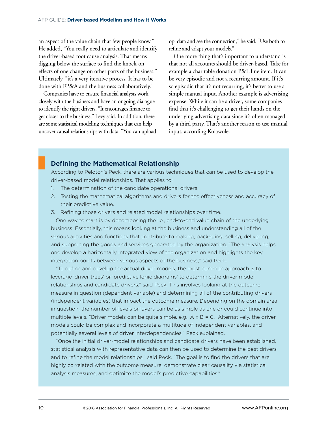an aspect of the value chain that few people know." He added, "You really need to articulate and identify the driver-based root cause analysis. That means digging below the surface to find the knock-on effects of one change on other parts of the business." Ultimately, "it's a very iterative process. It has to be done with FP&A and the business collaboratively."

Companies have to ensure financial analysts work closely with the business and have an ongoing dialogue to identify the right drivers. "It encourages finance to get closer to the business," Levy said. In addition, there are some statistical modeling techniques that can help uncover causal relationships with data. "You can upload op. data and see the connection," he said. "Use both to refine and adapt your models."

One more thing that's important to understand is that not all accounts should be driver-based. Take for example a charitable donation P&L line item. It can be very episodic and not a recurring amount. If it's so episodic that it's not recurring, it's better to use a simple manual input. Another example is advertising expense. While it can be a driver, some companies find that it's challenging to get their hands on the underlying advertising data since it's often managed by a third party. That's another reason to use manual input, according Kolawole.

# **Defining the Mathematical Relationship**

According to Peloton's Peck, there are various techniques that can be used to develop the driver-based model relationships. That applies to:

- 1. The determination of the candidate operational drivers.
- 2. Testing the mathematical algorithms and drivers for the effectiveness and accuracy of their predictive value.
- 3. Refining those drivers and related model relationships over time.

One way to start is by decomposing the i.e., end-to-end value chain of the underlying business. Essentially, this means looking at the business and understanding all of the various activities and functions that contribute to making, packaging, selling, delivering, and supporting the goods and services generated by the organization. "The analysis helps one develop a horizontally integrated view of the organization and highlights the key integration points between various aspects of the business," said Peck.

"To define and develop the actual driver models, the most common approach is to leverage 'driver trees' or 'predictive logic diagrams' to determine the driver model relationships and candidate drivers," said Peck. This involves looking at the outcome measure in question (dependent variable) and determining all of the contributing drivers (independent variables) that impact the outcome measure. Depending on the domain area in question, the number of levels or layers can be as simple as one or could continue into multiple levels. "Driver models can be quite simple, e.g.,  $A \times B = C$ . Alternatively, the driver models could be complex and incorporate a multitude of independent variables, and potentially several levels of driver interdependencies," Peck explained.

"Once the initial driver-model relationships and candidate drivers have been established, statistical analysis with representative data can then be used to determine the best drivers and to refine the model relationships," said Peck. "The goal is to find the drivers that are highly correlated with the outcome measure, demonstrate clear causality via statistical analysis measures, and optimize the model's predictive capabilities."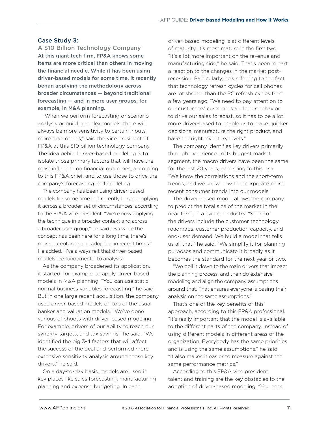#### Case Study 3:

A \$10 Billion Technology Company At this giant tech firm, FP&A knows some items are more critical than others in moving the financial needle. While it has been using driver-based models for some time, it recently began applying the methodology across broader circumstances — beyond traditional forecasting — and in more user groups, for example, in M&A planning.

"When we perform forecasting or scenario analysis or build complex models, there will always be more sensitivity to certain inputs more than others," said the vice president of FP&A at this \$10 billion technology company. The idea behind driver-based modeling is to isolate those primary factors that will have the most influence on financial outcomes, according to this FP&A chief, and to use those to drive the company's forecasting and modeling.

The company has been using driver-based models for some time but recently began applying it across a broader set of circumstances, according to the FP&A vice president. "We're now applying the technique in a broader context and across a broader user group," he said. "So while the concept has been here for a long time, there's more acceptance and adoption in recent times." He added, "I've always felt that driver-based models are fundamental to analysis."

As the company broadened its application, it started, for example, to apply driver-based models in M&A planning. "You can use static, normal business variables forecasting," he said. But in one large recent acquisition, the company used driver-based models on top of the usual banker and valuation models. "We've done various offshoots with driver-based modeling. For example, drivers of our ability to reach our synergy targets, and tax savings," he said. "We identified the big 3-4 factors that will affect the success of the deal and performed more extensive sensitivity analysis around those key drivers," he said.

On a day-to-day basis, models are used in key places like sales forecasting, manufacturing planning and expense budgeting. In each,

driver-based modeling is at different levels of maturity. It's most mature in the first two. "It's a lot more important on the revenue and manufacturing side," he said. That's been in part a reaction to the changes in the market postrecession. Particularly, he's referring to the fact that technology refresh cycles for cell phones are lot shorter than the PC refresh cycles from a few years ago. "We need to pay attention to our customers' customers and their behavior to drive our sales forecast, so it has to be a lot more driver-based to enable us to make quicker decisions, manufacture the right product, and have the right inventory levels."

The company identifies key drivers primarily through experience. In its biggest market segment, the macro drivers have been the same for the last 20 years, according to this pro. "We know the correlations and the short-term trends, and we know how to incorporate more recent consumer trends into our models."

The driver-based model allows the company to predict the total size of the market in the near term, in a cyclical industry. "Some of the drivers include the customer technology roadmaps, customer production capacity, and end-user demand. We build a model that tells us all that," he said. "We simplify it for planning purposes and communicate it broadly as it becomes the standard for the next year or two.

"We boil it down to the main drivers that impact the planning process, and then do extensive modeling and align the company assumptions around that. That ensures everyone is basing their analysis on the same assumptions."

That's one of the key benefits of this approach, according to this FP&A professional. "It's really important that the model is available to the different parts of the company, instead of using different models in different areas of the organization. Everybody has the same priorities and is using the same assumptions," he said. "It also makes it easier to measure against the same performance metrics."

According to this FP&A vice president, talent and training are the key obstacles to the adoption of driver-based modeling. "You need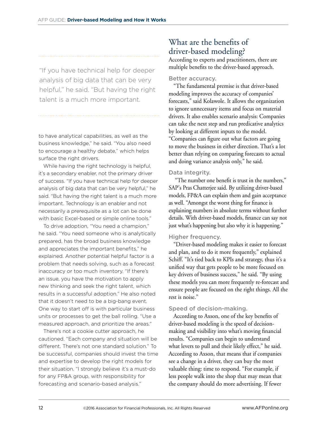"If you have technical help for deeper analysis of big data that can be very helpful," he said. "But having the right talent is a much more important.

to have analytical capabilities, as well as the business knowledge," he said. "You also need to encourage a healthy debate," which helps surface the right drivers.

While having the right technology is helpful, it's a secondary enabler, not the primary driver of success. "If you have technical help for deeper analysis of big data that can be very helpful," he said. "But having the right talent is a much more important. Technology is an enabler and not necessarily a prerequisite as a lot can be done with basic Excel-based or simple online tools."

To drive adoption, "You need a champion," he said. "You need someone who is analytically prepared, has the broad business knowledge and appreciates the important benefits," he explained. Another potential helpful factor is a problem that needs solving, such as a forecast inaccuracy or too much inventory. "If there's an issue, you have the motivation to apply new thinking and seek the right talent, which results in a successful adoption." He also noted that it doesn't need to be a big-bang event. One way to start off is with particular business units or processes to get the ball rolling. "Use a measured approach, and prioritize the areas."

There's not a cookie cutter approach, he cautioned. "Each company and situation will be different. There's not one standard solution." To be successful, companies should invest the time and expertise to develop the right models for their situation. "I strongly believe it's a must-do for any FP&A group, with responsibility for forecasting and scenario-based analysis."

# What are the benefits of driver-based modeling?

According to experts and practitioners, there are multiple benefits to the driver-based approach.

# Better accuracy.

"The fundamental premise is that driver-based modeling improves the accuracy of companies' forecasts," said Kolawole. It allows the organization to ignore unnecessary items and focus on material drivers. It also enables scenario analysis: Companies can take the next step and run predicative analytics by looking at different inputs to the model. "Companies can figure out what factors are going to move the business in either direction. That's a lot better than relying on comparing forecasts to actual and doing variance analysis only," he said.

# Data integrity.

 "The number one benefit is trust in the numbers," SAP's Pras Chatterjee said. By utilizing driver-based models, FP&A can explain them and gain acceptance as well. "Amongst the worst thing for finance is explaining numbers in absolute terms without further details. With driver-based models, finance can say not just what's happening but also why it is happening."

# Higher frequency.

"Driver-based modeling makes it easier to forecast and plan, and to do it more frequently," explained Schiff. "It's tied back to KPIs and strategy, thus it's a unified way that gets people to be more focused on key drivers of business success," he said. "By using these models you can more frequently re-forecast and ensure people are focused on the right things. All the rest is noise."

# Speed of decision-making.

According to Axson, one of the key benefits of driver-based modeling is the speed of decisionmaking and visibility into what's moving financial results. "Companies can begin to understand what levers to pull and their likely effect," he said. According to Axson, that means that if companies see a change in a driver, they can buy the most valuable thing: time to respond. "For example, if less people walk into the shop that may mean that the company should do more advertising. If fewer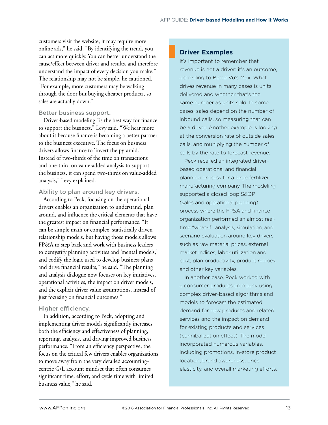customers visit the website, it may require more online ads," he said. "By identifying the trend, you can act more quickly. You can better understand the cause/effect between driver and results, and therefore understand the impact of every decision you make." The relationship may not be simple, he cautioned. "For example, more customers may be walking through the door but buying cheaper products, so sales are actually down."

#### Better business support.

Driver-based modeling "is the best way for finance to support the business," Levy said. "We hear more about it because finance is becoming a better partner to the business executive. The focus on business drivers allows finance to 'invert the pyramid.' Instead of two-thirds of the time on transactions and one-third on value-added analysis to support the business, it can spend two-thirds on value-added analysis," Levy explained.

#### Ability to plan around key drivers.

According to Peck, focusing on the operational drivers enables an organization to understand, plan around, and influence the critical elements that have the greatest impact on financial performance. "It can be simple math or complex, statistically driven relationship models, but having those models allows FP&A to step back and work with business leaders to demystify planning activities and 'mental models,' and codify the logic used to develop business plans and drive financial results," he said. "The planning and analysis dialogue now focuses on key initiatives, operational activities, the impact on driver models, and the explicit driver value assumptions, instead of just focusing on financial outcomes."

#### Higher efficiency.

In addition, according to Peck, adopting and implementing driver models significantly increases both the efficiency and effectiveness of planning, reporting, analysis, and driving improved business performance. "From an efficiency perspective, the focus on the critical few drivers enables organizations to move away from the very detailed accountingcentric G/L account mindset that often consumes significant time, effort, and cycle time with limited business value," he said.

# **Driver Examples**

It's important to remember that revenue is not a driver: it's an outcome, according to BetterVu's Max. What drives revenue in many cases is units delivered and whether that's the same number as units sold. In some cases, sales depend on the number of inbound calls, so measuring that can be a driver. Another example is looking at the conversion rate of outside sales calls, and multiplying the number of calls by the rate to forecast revenue.

Peck recalled an integrated driverbased operational and financial planning process for a large fertilizer manufacturing company. The modeling supported a closed loop S&OP (sales and operational planning) process where the FP&A and finance organization performed an almost realtime "what-if" analysis, simulation, and scenario evaluation around key drivers such as raw material prices, external market indices, labor utilization and cost, plan productivity, product recipes, and other key variables.

In another case, Peck worked with a consumer products company using complex driver-based algorithms and models to forecast the estimated demand for new products and related services and the impact on demand for existing products and services (cannibalization effect). The model incorporated numerous variables, including promotions, in-store product location, brand awareness, price elasticity, and overall marketing efforts.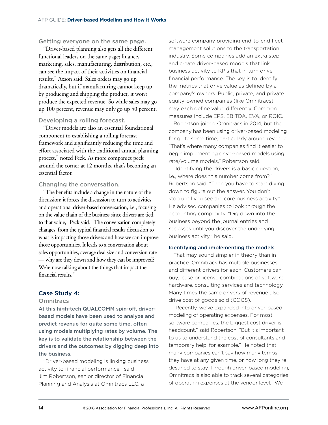Getting everyone on the same page.

"Driver-based planning also gets all the different functional leaders on the same page; finance, marketing, sales, manufacturing, distribution, etc., can see the impact of their activities on financial results," Axson said. Sales orders may go up dramatically, but if manufacturing cannot keep up by producing and shipping the product, it won't produce the expected revenue. So while sales may go up 100 percent, revenue may only go up 50 percent.

#### Developing a rolling forecast.

"Driver models are also an essential foundational component to establishing a rolling forecast framework and significantly reducing the time and effort associated with the traditional annual planning process," noted Peck. As more companies peek around the corner at 12 months, that's becoming an essential factor.

#### Changing the conversation.

"The benefits include a change in the nature of the discussion; it forces the discussion to turn to activities and operational driver-based conversation, i.e., focusing on the value chain of the business since drivers are tied to that value," Peck said. "The conversation completely changes, from the typical financial results discussion to what is impacting those drivers and how we can improve those opportunities. It leads to a conversation about sales opportunities, average deal size and conversion rate — why are they down and how they can be improved? We're now talking about the things that impact the financial results."

# Case Study 4:

#### **Omnitracs**

At this high-tech QUALCOMM spin-off, driverbased models have been used to analyze and predict revenue for quite some time, often using models multiplying rates by volume. The key is to validate the relationship between the drivers and the outcomes by digging deep into the business.

"Driver-based modeling is linking business activity to financial performance," said Jim Robertson, senior director of Financial Planning and Analysis at Omnitracs LLC, a

software company providing end-to-end fleet management solutions to the transportation industry. Some companies add an extra step and create driver-based models that link business activity to KPIs that in turn drive financial performance. The key is to identify the metrics that drive value as defined by a company's owners. Public, private, and private equity-owned companies (like Omnitracs) may each define value differently. Common measures include EPS, EBITDA, EVA, or ROIC.

Robertson joined Omnitracs in 2014, but the company has been using driver-based modeling for quite some time, particularly around revenue. "That's where many companies find it easier to begin implementing driver-based models using rate/volume models," Robertson said.

"Identifying the drivers is a basic question, i.e., where does this number come from?" Robertson said. "Then you have to start diving down to figure out the answer. You don't stop until you see the core business activity." He advised companies to look through the accounting complexity. "Dig down into the business beyond the journal entries and reclasses until you discover the underlying business activity," he said.

#### Identifying and implementing the models

That may sound simpler in theory than in practice. Omnitracs has multiple businesses and different drivers for each. Customers can buy, lease or license combinations of software, hardware, consulting services and technology. Many times the same drivers of revenue also drive cost of goods sold (COGS).

"Recently, we've expanded into driver-based modeling of operating expenses. For most software companies, the biggest cost driver is headcount," said Robertson. "But it's important to us to understand the cost of consultants and temporary help, for example." He noted that many companies can't say how many temps they have at any given time, or how long they're destined to stay. Through driver-based modeling, Omnitracs is also able to track several categories of operating expenses at the vendor level. "We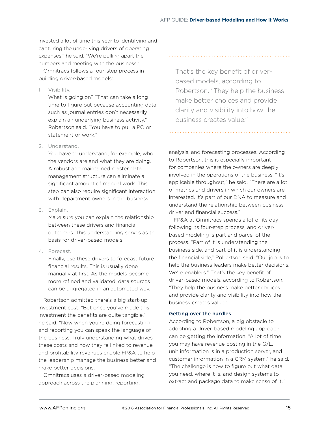invested a lot of time this year to identifying and capturing the underlying drivers of operating expenses," he said. "We're pulling apart the numbers and meeting with the business."

Omnitracs follows a four-step process in building driver-based models:

1. Visibility.

What is going on? "That can take a long time to figure out because accounting data such as journal entries don't necessarily explain an underlying business activity," Robertson said. "You have to pull a PO or statement or work."

#### 2. Understand.

You have to understand, for example, who the vendors are and what they are doing. A robust and maintained master data management structure can eliminate a significant amount of manual work. This step can also require significant interaction with department owners in the business.

3. Explain.

Make sure you can explain the relationship between these drivers and financial outcomes. This understanding serves as the basis for driver-based models.

4. Forecast.

Finally, use these drivers to forecast future financial results. This is usually done manually at first. As the models become more refined and validated, data sources can be aggregated in an automated way.

Robertson admitted there's a big start-up investment cost. "But once you've made this investment the benefits are quite tangible," he said. "Now when you're doing forecasting and reporting you can speak the language of the business. Truly understanding what drives these costs and how they're linked to revenue and profitability revenues enable FP&A to help the leadership manage the business better and make better decisions."

Omnitracs uses a driver-based modeling approach across the planning, reporting,

That's the key benefit of driverbased models, according to Robertson. "They help the business make better choices and provide clarity and visibility into how the business creates value."

analysis, and forecasting processes. According to Robertson, this is especially important for companies where the owners are deeply involved in the operations of the business. "It's applicable throughout," he said. "There are a lot of metrics and drivers in which our owners are interested. It's part of our DNA to measure and understand the relationship between business driver and financial success."

FP&A at Omnitracs spends a lot of its day following its four-step process, and driverbased modeling is part and parcel of the process. "Part of it is understanding the business side, and part of it is understanding the financial side," Robertson said. "Our job is to help the business leaders make better decisions. We're enablers." That's the key benefit of driver-based models, according to Robertson. "They help the business make better choices and provide clarity and visibility into how the business creates value."

#### Getting over the hurdles

According to Robertson, a big obstacle to adopting a driver-based modeling approach can be getting the information. "A lot of time you may have revenue posting in the G/L, unit information is in a production server, and customer information in a CRM system," he said. "The challenge is how to figure out what data you need, where it is, and design systems to extract and package data to make sense of it."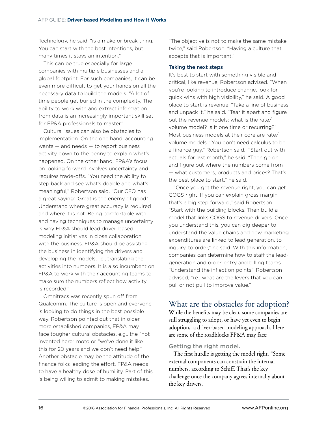Technology, he said, "is a make or break thing. You can start with the best intentions, but many times it stays an intention."

This can be true especially for large companies with multiple businesses and a global footprint. For such companies, it can be even more difficult to get your hands on all the necessary data to build the models. "A lot of time people get buried in the complexity. The ability to work with and extract information from data is an increasingly important skill set for FP&A professionals to master."

Cultural issues can also be obstacles to implementation. On the one hand, accounting wants — and needs — to report business activity down to the penny to explain what's happened. On the other hand, FP&A's focus on looking forward involves uncertainty and requires trade-offs. "You need the ability to step back and see what's doable and what's meaningful," Robertson said. "Our CFO has a great saying: 'Great is the enemy of good.' Understand where great accuracy is required and where it is not. Being comfortable with and having techniques to manage uncertainty is why FP&A should lead driver-based modeling initiatives in close collaboration with the business. FP&A should be assisting the business in identifying the drivers and developing the models, i.e., translating the activities into numbers. It is also incumbent on FP&A to work with their accounting teams to make sure the numbers reflect how activity is recorded."

Omnitracs was recently spun off from Qualcomm. The culture is open and everyone is looking to do things in the best possible way. Robertson pointed out that in older, more established companies, FP&A may face tougher cultural obstacles, e.g., the "not invented here" moto or "we've done it like this for 20 years and we don't need help." Another obstacle may be the attitude of the finance folks leading the effort. FP&A needs to have a healthy dose of humility. Part of this is being willing to admit to making mistakes.

"The objective is not to make the same mistake twice," said Robertson. "Having a culture that accepts that is important."

#### Taking the next steps

It's best to start with something visible and critical, like revenue, Robertson advised. "When you're looking to introduce change, look for quick wins with high visibility," he said. A good place to start is revenue. "Take a line of business and unpack it," he said. "Tear it apart and figure out the revenue models: what is the rate/ volume model? Is it one time or recurring?" Most business models at their core are rate/ volume models. "You don't need calculus to be a finance guy," Robertson said. "Start out with actuals for last month," he said. "Then go on and figure out where the numbers come from — what customers, products and prices? That's the best place to start," he said.

"Once you get the revenue right, you can get COGS right. If you can explain gross margin that's a big step forward," said Robertson. "Start with the building blocks. Then build a model that links COGS to revenue drivers. Once you understand this, you can dig deeper to understand the value chains and how marketing expenditures are linked to lead generation, to inquiry, to order," he said. With this information, companies can determine how to staff the leadgeneration and order-entry and billing teams. "Understand the inflection points," Robertson advised, "i.e., what are the levers that you can pull or not pull to improve value."

# What are the obstacles for adoption?

While the benefits may be clear, some companies are still struggling to adopt, or have yet even to begin adoption, a driver-based modeling approach. Here are some of the roadblocks FP&A may face:

#### Getting the right model.

The first hurdle is getting the model right. "Some external components can constrain the internal numbers, according to Schiff. That's the key challenge once the company agrees internally about the key drivers.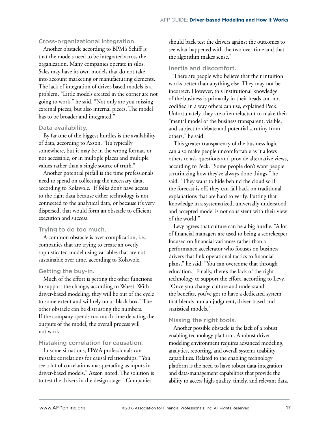#### Cross-organizational integration.

Another obstacle according to BPM's Schiff is that the models need to be integrated across the organization. Many companies operate in silos. Sales may have its own models that do not take into account marketing or manufacturing elements. The lack of integration of driver-based models is a problem. "Little models created in the corner are not going to work," he said. "Not only are you missing external pieces, but also internal pieces. The model has to be broader and integrated."

#### Data availability.

By far one of the biggest hurdles is the availability of data, according to Axson. "It's typically somewhere, but it may be in the wrong format, or not accessible, or in multiple places and multiple values rather than a single source of truth."

Another potential pitfall is the time professionals need to spend on collecting the necessary data, according to Kolawole. If folks don't have access to the right data because either technology is not connected to the analytical data, or because it's very dispersed, that would form an obstacle to efficient execution and success.

#### Trying to do too much.

A common obstacle is over-complication, i.e., companies that are trying to create an overly sophisticated model using variables that are not sustainable over time, according to Kolawole.

#### Getting the buy-in.

Much of the effort is getting the other functions to support the change, according to Wuest. With driver-based modeling, they will be out of the cycle to some extent and will rely on a "black box." The other obstacle can be distrusting the numbers. If the company spends too much time debating the outputs of the model, the overall process will not work.

#### Mistaking correlation for causation.

In some situations, FP&A professionals can mistake correlations for causal relationships. "You see a lot of correlations masquerading as inputs in driver-based models," Axson noted. The solution is to test the drivers in the design stage. "Companies

should back test the drivers against the outcomes to see what happened with the two over time and that the algorithm makes sense."

#### Inertia and discomfort.

There are people who believe that their intuition works better than anything else. They may not be incorrect. However, this institutional knowledge of the business is primarily in their heads and not codified in a way others can use, explained Peck. Unfortunately, they are often reluctant to make their "mental model of the business transparent, visible, and subject to debate and potential scrutiny from others," he said.

This greater transparency of the business logic can also make people uncomfortable as it allows others to ask questions and provide alternative views, according to Peck. "Some people don't want people scrutinizing how they've always done things," he said. "They want to hide behind the cloud so if the forecast is off, they can fall back on traditional explanations that are hard to verify. Putting that knowledge in a systematized, universally understood and accepted model is not consistent with their view of the world."

Levy agrees that culture can be a big hurdle. "A lot of financial managers are used to being a scorekeeper focused on financial variances rather than a performance accelerator who focuses on business drivers that link operational tactics to financial plans," he said. "You can overcome that through education." Finally, there's the lack of the right technology to support the effort, according to Levy. "Once you change culture and understand the benefits, you've got to have a dedicated system that blends human judgment, driver-based and statistical models."

#### Missing the right tools.

Another possible obstacle is the lack of a robust enabling technology platform. A robust driver modeling environment requires advanced modeling, analytics, reporting, and overall systems usability capabilities. Related to the enabling technology platform is the need to have robust data-integration and data-management capabilities that provide the ability to access high-quality, timely, and relevant data.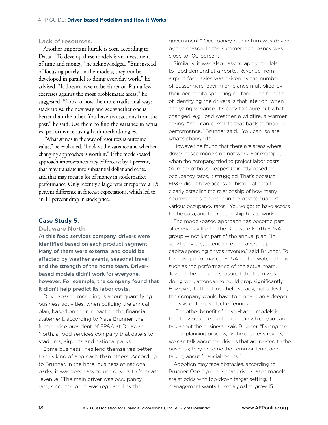#### Lack of resources.

Another important hurdle is cost, according to Datta. "To develop these models is an investment of time and money," he acknowledged. "But instead of focusing purely on the models, they can be developed in parallel to doing everyday work," he advised. "It doesn't have to be either or. Run a few exercises against the most problematic areas," he suggested. "Look at how the more traditional ways stack up vs. the new way and see whether one is better than the other. You have transactions from the past," he said. Use them to find the variance in actual vs. performance, using both methodologies.

"What stands in the way of resources is outcome value," he explained. "Look at the variance and whether changing approaches is worth it." If the model-based approach improves accuracy of forecast by 1 percent, that may translate into substantial dollar and cents, and that may mean a lot of money in stock market performance. Only recently a large retailer reported a 1.5 percent difference in forecast expectations, which led to an 11 percent drop in stock price.

#### Case Study 5:

Delaware North

At this food services company, drivers were identified based on each product segment. Many of them were external and could be affected by weather events, seasonal travel and the strength of the home team. Driverbased models didn't work for everyone, however. For example, the company found that it didn't help predict its labor costs.

Driver-based modeling is about quantifying business activities, when building the annual plan, based on their impact on the financial statement, according to Nate Brunner, the former vice president of FP&A at Delaware North, a food services company that caters to stadiums, airports and national parks.

Some business lines lend themselves better to this kind of approach than others. According to Brunner, in the hotel business at national parks, it was very easy to use drivers to forecast revenue. "The main driver was occupancy rate, since the price was regulated by the

government." Occupancy rate in turn was driven by the season. In the summer, occupancy was close to 100 percent.

Similarly, it was also easy to apply models to food demand at airports. Revenue from airport food sales was driven by the number of passengers leaving on planes multiplied by their per capita spending on food. The benefit of identifying the drivers is that later on, when analyzing variance, it's easy to figure out what changed, e.g., bad weather, a wildfire, a warmer spring. "You can correlate that back to financial performance," Brunner said. "You can isolate what's changed."

However, he found that there are areas where driver-based models do not work. For example, when the company tried to project labor costs (number of housekeepers) directly based on occupancy rates, it struggled. That's because FP&A didn't have access to historical data to clearly establish the relationship of how many housekeepers it needed in the past to support various occupancy rates. "You've got to have access to the data, and the relationship has to work."

The model-based approach has become part of every-day life for the Delaware North FP&A group — not just part of the annual plan. "In sport services, attendance and average per capita spending drives revenue," said Brunner. To forecast performance, FP&A had to watch things such as the performance of the actual team. Toward the end of a season, if the team wasn't doing well, attendance could drop significantly. However, if attendance held steady, but sales fell, the company would have to embark on a deeper analysis of the product offerings.

"The other benefit of driver-based models is that they become the language in which you can talk about the business," said Brunner. "During the annual planning process, or the quarterly review, we can talk about the drivers that are related to the business; they become the common language to talking about financial results."

Adoption may face obstacles, according to Brunner. One big one is that driver-based models are at odds with top-down target setting. If management wants to set a goal to grow 15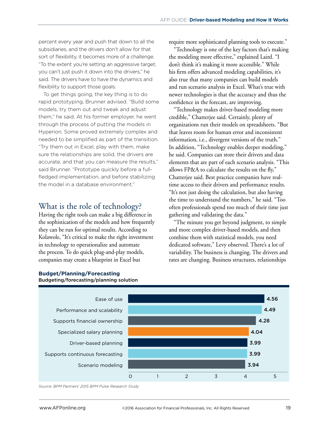percent every year and push that down to all the subsidiaries, and the drivers don't allow for that sort of flexibility, it becomes more of a challenge. "To the extent you're setting an aggressive target, you can't just push it down into the drivers," he said. The drivers have to have the dynamics and flexibility to support those goals.

To get things going, the key thing is to do rapid prototyping, Brunner advised. "Build some models, try them out and tweak and adjust them," he said. At his former employer, he went through the process of putting the models in Hyperion. Some proved extremely complex and needed to be simplified as part of the transition. "Try them out in Excel, play with them, make sure the relationships are solid, the drivers are accurate, and that you can measure the results," said Brunner. "Prototype quickly before a fullfledged implementation, and before stabilizing the model in a database environment."

# What is the role of technology?

Having the right tools can make a big difference in the sophistication of the models and how frequently they can be run for optimal results. According to Kolawole, "It's critical to make the right investment in technology to operationalize and automate the process. To do quick plug-and-play models, companies may create a blueprint in Excel but

require more sophisticated planning tools to execute."

"Technology is one of the key factors that's making the modeling more effective," explained Laird. "I don't think it's making it more accessible." While his firm offers advanced modeling capabilities, it's also true that many companies can build models and run scenario analysis in Excel. What's true with newer technologies is that the accuracy and thus the confidence in the forecast, are improving.

"Technology makes driver-based modeling more credible," Chatterjee said. Certainly, plenty of organizations run their models on spreadsheets. "But that leaves room for human error and inconsistent information, i.e., divergent versions of the truth." In addition, "Technology enables deeper modeling," he said. Companies can store their drivers and data elements that are part of each scenario analysis. "This allows FP&A to calculate the results on the fly," Chatterjee said. Best practice companies have realtime access to their drivers and performance results. "It's not just doing the calculation, but also having the time to understand the numbers," he said. "Too often professionals spend too much of their time just gathering and validating the data."

"The minute you get beyond judgment, to simple and more complex driver-based models, and then combine them with statistical models, you need dedicated software," Levy observed. There's a lot of variability. The business is changing. The drivers and rates are changing. Business structures, relationships



#### **Budget/Planning/Forecasting** Budgeting/forecasting/planning solution

*Source: BPM Partners' 2015 BPM Pulse Research Study*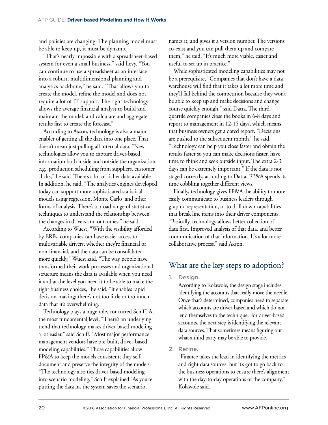and policies are changing. The planning model must be able to keep up, it must be dynamic.

"That's nearly impossible with a spreadsheet-based system for even a small business," said Levy. "You can continue to use a spreadsheet as an interface into a robust, multidimensional planning and analytics backbone," he said. "That allows you to create the model, refine the model and does not require a lot of IT support. The right technology allows the average financial analyst to build and maintain the model, and calculate and aggregate results fast to create the forecast."

According to Axson, technology is also a major enabler of getting all the data into one place. That doesn't mean just pulling all internal data. "New technologies allow you to capture driver-based information both inside and outside the organization, e.g., production scheduling from suppliers, customer clicks," he said. There's a lot of richer data available. In addition, he said, "The analytics engines developed today can support more sophisticated statistical models using regression, Monte Carlo, and other forms of analysis. There's a broad range of statistical techniques to understand the relationship between the changes in drivers and outcomes," he said.

According to Wuest, "With the visibility afforded by ERPs, companies can have easier access to multivariable drivers, whether they're financial or non-financial, and the data can be consolidated more quickly," Wuest said. "The way people have transformed their work processes and organizational structure means the data is available when you need it and at the level you need it to be able to make the right business choices," he said. "It enables rapid decision-making; there's not too little or too much data that it's overwhelming."

Technology plays a huge role, concurred Schiff. At the most fundamental level, "There's an underlying trend that technology makes driver-based modeling a lot easier," said Schiff. "Most major performance management vendors have pre-built, driver-based modeling capabilities." Those capabilities allow FP&A to keep the models consistent; they selfdocument and preserve the integrity of the models. "The technology also ties driver-based modeling into scenario modeling," Schiff explained "As you're putting the data in, the system saves the scenario,

names it, and gives it a version number. The versions co-exist and you can pull them up and compare them," he said. "It's much more viable, easier and useful to set up in practice."

While sophisticated modeling capabilities may not be a prerequisite, "Companies that don't have a data warehouse will find that it takes a lot more time and they'll fall behind the competition because they won't be able to keep up and make decisions and change course quickly enough," said Datta. The thirdquartile companies close the books in 6-8 days and report to management in 12-15 days, which means that business owners get a dated report. "Decisions are pushed to the subsequent month," he said. "Technology can help you close faster and obtain the results faster so you can make decisions faster, have time to think and seek outside input. The extra 2-3 days can be extremely important." If the data is not staged correctly, according to Datta, FP&A spends its time cobbling together different views.

Finally, technology gives FP&A the ability to more easily communicate to business leaders through graphic representation, or to drill down capabilities that break line items into their driver components. "Basically, technology allows better collection of data first. Improved analysis of that data, and better communication of that information. It's a lot more collaborative process," said Axson.

# What are the key steps to adoption?

#### 1. Design.

According to Kolawole, the design stage includes identifying the accounts that really move the needle. Once that's determined, companies need to separate which accounts are driver-based and which do not lend themselves to the technique. For driver-based accounts, the next step is identifying the relevant data sources. That sometimes means figuring out what a third party may be able to provide.

# 2. Refine.

"Finance takes the lead in identifying the metrics and right data sources, but it's got to go back to the business operations to ensure there's alignment with the day-to-day operations of the company," Kolawole said.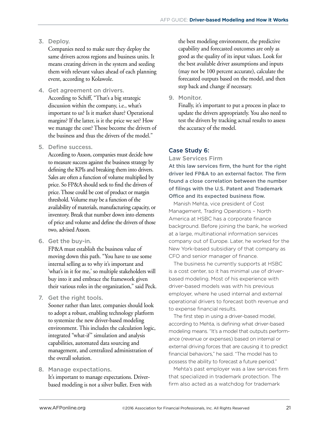#### 3. Deploy.

Companies need to make sure they deploy the same drivers across regions and business units. It means creating drivers in the system and seeding them with relevant values ahead of each planning event, according to Kolawole.

4. Get agreement on drivers.

According to Schiff, "That's a big strategic discussion within the company, i.e., what's important to us? Is it market share? Operational margins? If the latter, is it the price we set? How we manage the cost? Those become the drivers of the business and thus the drivers of the model."

#### 5. Define success.

According to Axson, companies must decide how to measure success against the business strategy by defining the KPIs and breaking them into drivers. Sales are often a function of volume multiplied by price. So FP&A should seek to find the drivers of price. Those could be cost of product or margin threshold. Volume may be a function of the availability of materials, manufacturing capacity, or inventory. Break that number down into elements of price and volume and define the drivers of those two, advised Axson.

6. Get the buy-in.

FP&A must establish the business value of moving down this path. "You have to use some internal selling as to why it's important and 'what's in it for me,' so multiple stakeholders will buy into it and embrace the framework given their various roles in the organization," said Peck.

7. Get the right tools.

Sooner rather than later, companies should look to adopt a robust, enabling technology platform to systemize the new driver-based modeling environment. This includes the calculation logic, integrated "what-if" simulation and analysis capabilities, automated data sourcing and management, and centralized administration of the overall solution.

#### 8. Manage expectations.

It's important to manage expectations. Driverbased modeling is not a silver bullet. Even with

the best modeling environment, the predictive capability and forecasted outcomes are only as good as the quality of its input values. Look for the best available driver assumptions and inputs (may not be 100 percent accurate), calculate the forecasted outputs based on the model, and then step back and change if necessary.

#### 9. Monitor.

Finally, it's important to put a process in place to update the drivers appropriately. You also need to test the drivers by tracking actual results to assess the accuracy of the model.

#### Case Study 6:

#### Law Services Firm

At this law services firm, the hunt for the right driver led FP&A to an external factor. The firm found a close correlation between the number of filings with the U.S. Patent and Trademark Office and its expected business flow.

Manish Mehta, vice president of Cost Management, Trading Operations – North America at HSBC has a corporate finance background. Before joining the bank, he worked at a large, multinational information services company out of Europe. Later, he worked for the New York-based subsidiary of that company as CFO and senior manager of finance.

The business he currently supports at HSBC is a cost center, so it has minimal use of driverbased modeling. Most of his experience with driver-based models was with his previous employer, where he used internal and external operational drivers to forecast both revenue and to expense financial results.

The first step in using a driver-based model, according to Mehta, is defining what driver-based modeling means. "It's a model that outputs performance (revenue or expenses) based on internal or external driving forces that are causing it to predict financial behaviors," he said. "The model has to possess the ability to forecast a future period."

Mehta's past employer was a law services firm that specialized in trademark protection. The firm also acted as a watchdog for trademark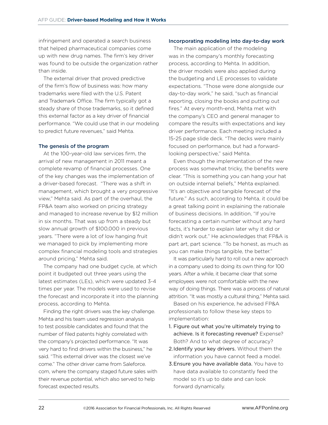infringement and operated a search business that helped pharmaceutical companies come up with new drug names. The firm's key driver was found to be outside the organization rather than inside.

The external driver that proved predictive of the firm's flow of business was: how many trademarks were filed with the U.S. Patent and Trademark Office. The firm typically got a steady share of those trademarks, so it defined this external factor as a key driver of financial performance. "We could use that in our modeling to predict future revenues," said Mehta.

#### The genesis of the program

At the 100-year-old law services firm, the arrival of new management in 2011 meant a complete revamp of financial processes. One of the key changes was the implementation of a driver-based forecast. "There was a shift in management, which brought a very progressive view," Mehta said. As part of the overhaul, the FP&A team also worked on pricing strategy and managed to increase revenue by \$12 million in six months. That was up from a steady but slow annual growth of \$100,000 in previous years. "There were a lot of low hanging fruit we managed to pick by implementing more complex financial modeling tools and strategies around pricing," Mehta said.

The company had one budget cycle, at which point it budgeted out three years using the latest estimates (LEs), which were updated 3-4 times per year. The models were used to revise the forecast and incorporate it into the planning process, according to Mehta.

Finding the right drivers was the key challenge. Mehta and his team used regression analysis to test possible candidates and found that the number of filed patents highly correlated with the company's projected performance. "It was very hard to find drivers within the business," he said. "This external driver was the closest we've come." The other driver came from Saleforce. com, where the company staged future sales with their revenue potential, which also served to help forecast expected results.

#### Incorporating modeling into day-to-day work

The main application of the modeling was in the company's monthly forecasting process, according to Mehta. In addition, the driver models were also applied during the budgeting and LE processes to validate expectations. "Those were done alongside our day-to-day work," he said, "such as financial reporting, closing the books and putting out fires." At every month-end, Mehta met with the company's CEO and general manager to compare the results with expectations and key driver performance. Each meeting included a 15-25 page slide deck. "The decks were mainly focused on performance, but had a forwardlooking perspective," said Mehta.

Even though the implementation of the new process was somewhat tricky, the benefits were clear. "This is something you can hang your hat on outside internal beliefs," Mehta explained. "It's an objective and tangible forecast of the future." As such, according to Mehta, it could be a great talking point in explaining the rationale of business decisions. In addition, "If you're forecasting a certain number without any hard facts, it's harder to explain later why it did or didn't work out." He acknowledges that FP&A is part art, part science. "To be honest, as much as you can make things tangible, the better."

It was particularly hard to roll out a new approach in a company used to doing its own thing for 100 years. After a while, it became clear that some employees were not comfortable with the new way of doing things. There was a process of natural attrition. "It was mostly a cultural thing," Mehta said.

Based on his experience, he advised FP&A professionals to follow these key steps to implementation:

- 1. Figure out what you're ultimately trying to achieve. Is it forecasting revenue? Expense? Both? And to what degree of accuracy?
- 2.Identify your key drivers. Without them the information you have cannot feed a model.
- 3.Ensure you have available data. You have to have data available to constantly feed the model so it's up to date and can look forward dynamically.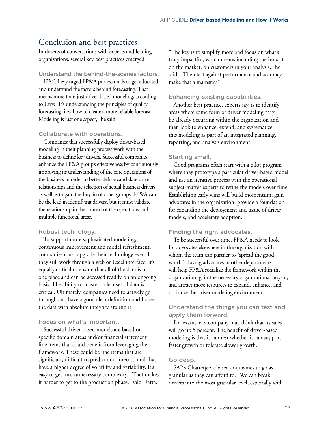# Conclusion and best practices

In dozens of conversations with experts and leading organizations, several key best practices emerged.

### Understand the behind-the-scenes factors.

IBM's Levy urged FP&A professionals to get educated and understand the factors behind forecasting. That means more than just driver-based modeling, according to Levy. "It's understanding the principles of quality forecasting, i.e., how to create a more reliable forecast. Modeling is just one aspect," he said.

# Collaborate with operations.

Companies that successfully deploy driver-based modeling in their planning process work with the business to define key drivers. Successful companies enhance the FP&A group's effectiveness by continuously improving its understanding of the core operations of the business in order to better define candidate driver relationships and the selection of actual business drivers, as well as to gain the buy-in of other groups. FP&A can be the lead in identifying drivers, but it must validate the relationship in the context of the operations and multiple functional areas.

# Robust technology.

To support more sophisticated modeling, continuous improvement and model refreshment, companies must upgrade their technology even if they still work through a web or Excel interface. It's equally critical to ensure that all of the data is in one place and can be accessed readily on an ongoing basis. The ability to master a clear set of data is critical. Ultimately, companies need to actively go through and have a good clear definition and house the data with absolute integrity around it.

# Focus on what's important.

Successful driver-based models are based on specific domain areas and/or financial statement line items that could benefit from leveraging the framework. These could be line items that are significant, difficult to predict and forecast, and that have a higher degree of volatility and variability. It's easy to get into unnecessary complexity. "That makes it harder to get to the production phase," said Datta.

"The key is to simplify more and focus on what's truly impactful, which means including the impact on the market, on customers in your analysis," he said. "Then test against performance and accuracy – make that a mainstay."

# Enhancing existing capabilities.

Another best practice, experts say, is to identify areas where some form of driver modeling may be already occurring within the organization and then look to enhance, extend, and systematize this modeling as part of an integrated planning, reporting, and analysis environment.

# Starting small.

Good programs often start with a pilot program where they prototype a particular driver-based model and use an iterative process with the operational subject-matter experts to refine the models over time. Establishing early wins will build momentum, gain advocates in the organization, provide a foundation for expanding the deployment and usage of driver models, and accelerate adoption.

# Finding the right advocates.

To be successful over time, FP&A needs to look for advocates elsewhere in the organization with whom the team can partner to "spread the good word." Having advocates in other departments will help FP&A socialize the framework within the organization, gain the necessary organizational buy-in, and attract more resources to expand, enhance, and optimize the driver modeling environment.

# Understand the things you can test and apply them forward.

For example, a company may think that its sales will go up 5 percent. The benefit of driver-based modeling is that it can test whether it can support faster growth or tolerate slower growth.

# Go deep.

SAP's Chatterjee advised companies to go as granular as they can afford to. "We can break drivers into the most granular level, especially with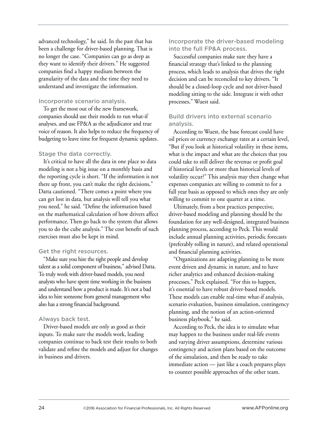advanced technology," he said. In the past that has been a challenge for driver-based planning. That is no longer the case. "Companies can go as deep as they want to identify their drivers." He suggested companies find a happy medium between the granularity of the data and the time they need to understand and investigate the information.

#### Incorporate scenario analysis.

To get the most out of the new framework, companies should use their models to run what-if analyses, and use FP&A as the adjudicator and true voice of reason. It also helps to reduce the frequency of budgeting to leave time for frequent dynamic updates.

# Stage the data correctly.

It's critical to have all the data in one place so data modeling is not a big issue on a monthly basis and the reporting cycle is short. "If the information is not there up front, you can't make the right decisions," Datta cautioned. "There comes a point where you can get lost in data, but analysis will tell you what you need," he said. "Define the information based on the mathematical calculation of how drivers affect performance. Then go back to the system that allows you to do the cube analysis." The cost benefit of such exercises must also be kept in mind.

# Get the right resources.

"Make sure you hire the right people and develop talent as a solid component of business," advised Datta. To truly work with driver-based models, you need analysts who have spent time working in the business and understand how a product is made. It's not a bad idea to hire someone from general management who also has a strong financial background.

#### Always back test.

Driver-based models are only as good as their inputs. To make sure the models work, leading companies continue to back test their results to both validate and refine the models and adjust for changes in business and drivers.

# Incorporate the driver-based modeling into the full FP&A process.

Successful companies make sure they have a financial strategy that's linked to the planning process, which leads to analysis that drives the right decision and can be reconciled to key drivers. "It should be a closed-loop cycle and not driver-based modeling sitting to the side. Integrate it with other processes," Wuest said.

# Build drivers into external scenario analysis.

According to Wuest, the base forecast could have oil prices or currency exchange rates at a certain level, "But if you look at historical volatility in these items, what is the impact and what are the choices that you could take to still deliver the revenue or profit goal if historical levels or more than historical levels of volatility occur?" This analysis may then change what expenses companies are willing to commit to for a full year basis as opposed to which ones they are only willing to commit to one quarter at a time.

Ultimately, from a best practices perspective, driver-based modeling and planning should be the foundation for any well-designed, integrated business planning process, according to Peck. This would include annual planning activities, periodic forecasts (preferably rolling in nature), and related operational and financial planning activities.

"Organizations are adapting planning to be more event driven and dynamic in nature, and to have richer analytics and enhanced decision-making processes," Peck explained. "For this to happen, it's essential to have robust driver-based models. These models can enable real-time what-if analysis, scenario evaluation, business simulation, contingency planning, and the notion of an action-oriented business playbook," he said.

According to Peck, the idea is to simulate what may happen to the business under real-life events and varying driver assumptions, determine various contingency and action plans based on the outcome of the simulation, and then be ready to take immediate action — just like a coach prepares plays to counter possible approaches of the other team.